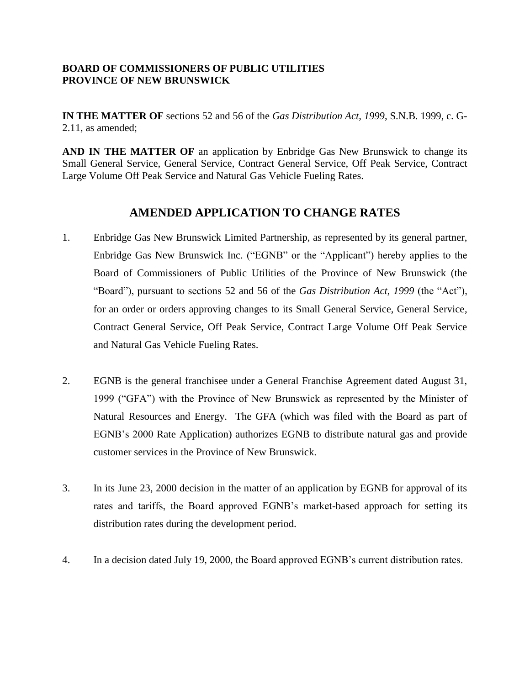## **BOARD OF COMMISSIONERS OF PUBLIC UTILITIES PROVINCE OF NEW BRUNSWICK**

**IN THE MATTER OF** sections 52 and 56 of the *Gas Distribution Act, 1999*, S.N.B. 1999, c. G-2.11, as amended;

**AND IN THE MATTER OF** an application by Enbridge Gas New Brunswick to change its Small General Service, General Service, Contract General Service, Off Peak Service, Contract Large Volume Off Peak Service and Natural Gas Vehicle Fueling Rates.

## **AMENDED APPLICATION TO CHANGE RATES**

- 1. Enbridge Gas New Brunswick Limited Partnership, as represented by its general partner, Enbridge Gas New Brunswick Inc. ("EGNB" or the "Applicant") hereby applies to the Board of Commissioners of Public Utilities of the Province of New Brunswick (the "Board"), pursuant to sections 52 and 56 of the *Gas Distribution Act, 1999* (the "Act"), for an order or orders approving changes to its Small General Service, General Service, Contract General Service, Off Peak Service, Contract Large Volume Off Peak Service and Natural Gas Vehicle Fueling Rates.
- 2. EGNB is the general franchisee under a General Franchise Agreement dated August 31, 1999 ("GFA") with the Province of New Brunswick as represented by the Minister of Natural Resources and Energy. The GFA (which was filed with the Board as part of EGNB's 2000 Rate Application) authorizes EGNB to distribute natural gas and provide customer services in the Province of New Brunswick.
- 3. In its June 23, 2000 decision in the matter of an application by EGNB for approval of its rates and tariffs, the Board approved EGNB's market-based approach for setting its distribution rates during the development period.
- 4. In a decision dated July 19, 2000, the Board approved EGNB's current distribution rates.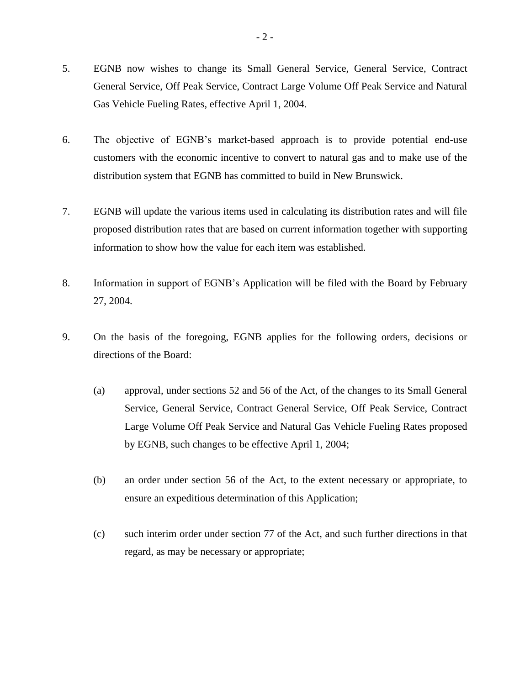- 5. EGNB now wishes to change its Small General Service, General Service, Contract General Service, Off Peak Service, Contract Large Volume Off Peak Service and Natural Gas Vehicle Fueling Rates, effective April 1, 2004.
- 6. The objective of EGNB's market-based approach is to provide potential end-use customers with the economic incentive to convert to natural gas and to make use of the distribution system that EGNB has committed to build in New Brunswick.
- 7. EGNB will update the various items used in calculating its distribution rates and will file proposed distribution rates that are based on current information together with supporting information to show how the value for each item was established.
- 8. Information in support of EGNB's Application will be filed with the Board by February 27, 2004.
- 9. On the basis of the foregoing, EGNB applies for the following orders, decisions or directions of the Board:
	- (a) approval, under sections 52 and 56 of the Act, of the changes to its Small General Service, General Service, Contract General Service, Off Peak Service, Contract Large Volume Off Peak Service and Natural Gas Vehicle Fueling Rates proposed by EGNB, such changes to be effective April 1, 2004;
	- (b) an order under section 56 of the Act, to the extent necessary or appropriate, to ensure an expeditious determination of this Application;
	- (c) such interim order under section 77 of the Act, and such further directions in that regard, as may be necessary or appropriate;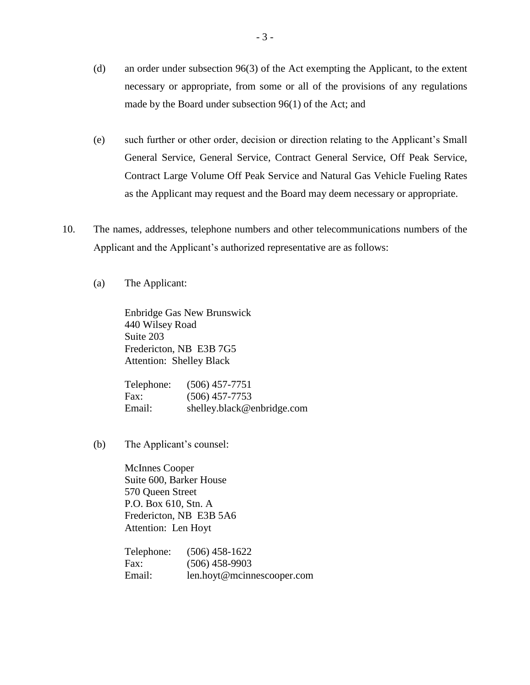- (d) an order under subsection 96(3) of the Act exempting the Applicant, to the extent necessary or appropriate, from some or all of the provisions of any regulations made by the Board under subsection 96(1) of the Act; and
- (e) such further or other order, decision or direction relating to the Applicant's Small General Service, General Service, Contract General Service, Off Peak Service, Contract Large Volume Off Peak Service and Natural Gas Vehicle Fueling Rates as the Applicant may request and the Board may deem necessary or appropriate.
- 10. The names, addresses, telephone numbers and other telecommunications numbers of the Applicant and the Applicant's authorized representative are as follows:
	- (a) The Applicant:

Enbridge Gas New Brunswick 440 Wilsey Road Suite 203 Fredericton, NB E3B 7G5 Attention: Shelley Black

Telephone: (506) 457-7751 Fax: (506) 457-7753 Email: shelley.black@enbridge.com

(b) The Applicant's counsel:

McInnes Cooper Suite 600, Barker House 570 Queen Street P.O. Box 610, Stn. A Fredericton, NB E3B 5A6 Attention: Len Hoyt

Telephone: (506) 458-1622 Fax: (506) 458-9903 Email: len.hoyt@mcinnescooper.com